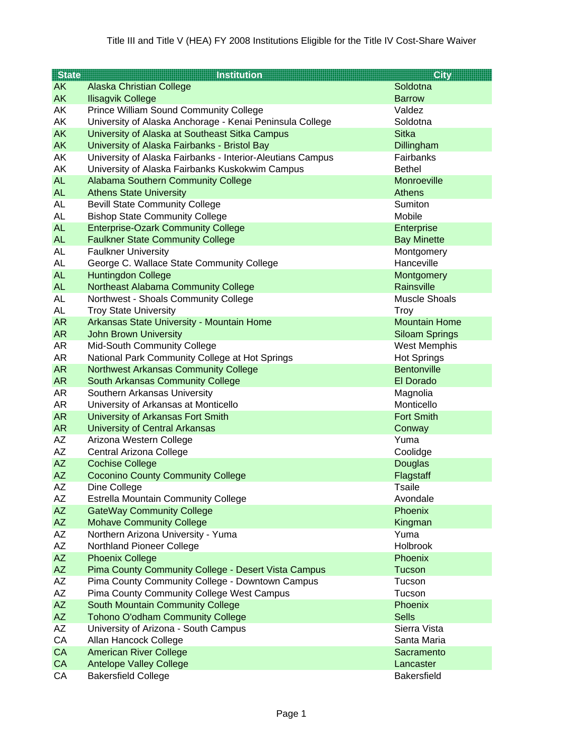| <b>State</b> | <b>Institution</b>                                         | <b>City</b>           |
|--------------|------------------------------------------------------------|-----------------------|
| <b>AK</b>    | <b>Alaska Christian College</b>                            | Soldotna              |
| <b>AK</b>    | <b>Ilisagvik College</b>                                   | <b>Barrow</b>         |
| AK           | <b>Prince William Sound Community College</b>              | Valdez                |
| AK           | University of Alaska Anchorage - Kenai Peninsula College   | Soldotna              |
| <b>AK</b>    | University of Alaska at Southeast Sitka Campus             | <b>Sitka</b>          |
| AK           | University of Alaska Fairbanks - Bristol Bay               | Dillingham            |
| AK           | University of Alaska Fairbanks - Interior-Aleutians Campus | Fairbanks             |
| AK           | University of Alaska Fairbanks Kuskokwim Campus            | <b>Bethel</b>         |
| <b>AL</b>    | Alabama Southern Community College                         | Monroeville           |
| <b>AL</b>    | <b>Athens State University</b>                             | <b>Athens</b>         |
| <b>AL</b>    | <b>Bevill State Community College</b>                      | Sumiton               |
| <b>AL</b>    | <b>Bishop State Community College</b>                      | Mobile                |
| <b>AL</b>    | <b>Enterprise-Ozark Community College</b>                  | Enterprise            |
| <b>AL</b>    | <b>Faulkner State Community College</b>                    | <b>Bay Minette</b>    |
| <b>AL</b>    | <b>Faulkner University</b>                                 | Montgomery            |
| <b>AL</b>    | George C. Wallace State Community College                  | Hanceville            |
| <b>AL</b>    | <b>Huntingdon College</b>                                  | Montgomery            |
| <b>AL</b>    | Northeast Alabama Community College                        | Rainsville            |
| <b>AL</b>    | Northwest - Shoals Community College                       | <b>Muscle Shoals</b>  |
| <b>AL</b>    | <b>Troy State University</b>                               | <b>Troy</b>           |
| <b>AR</b>    | Arkansas State University - Mountain Home                  | <b>Mountain Home</b>  |
| AR           | <b>John Brown University</b>                               | <b>Siloam Springs</b> |
| AR           | Mid-South Community College                                | <b>West Memphis</b>   |
| AR           | National Park Community College at Hot Springs             | <b>Hot Springs</b>    |
| <b>AR</b>    | <b>Northwest Arkansas Community College</b>                | <b>Bentonville</b>    |
| <b>AR</b>    | <b>South Arkansas Community College</b>                    | El Dorado             |
| AR           | Southern Arkansas University                               | Magnolia              |
| AR           | University of Arkansas at Monticello                       | Monticello            |
| <b>AR</b>    | University of Arkansas Fort Smith                          | <b>Fort Smith</b>     |
| <b>AR</b>    | <b>University of Central Arkansas</b>                      | Conway                |
| AZ           | Arizona Western College                                    | Yuma                  |
| AZ           | Central Arizona College                                    | Coolidge              |
| <b>AZ</b>    | <b>Cochise College</b>                                     | <b>Douglas</b>        |
| <b>AZ</b>    | <b>Coconino County Community College</b>                   | Flagstaff             |
| <b>AZ</b>    | Dine College                                               | <b>Tsaile</b>         |
| AZ           | <b>Estrella Mountain Community College</b>                 | Avondale              |
| AZ           | <b>GateWay Community College</b>                           | <b>Phoenix</b>        |
| AZ           | <b>Mohave Community College</b>                            | Kingman               |
| AZ           | Northern Arizona University - Yuma                         | Yuma                  |
| AZ           | Northland Pioneer College                                  | Holbrook              |
| AZ           | <b>Phoenix College</b>                                     | Phoenix               |
| AZ           | Pima County Community College - Desert Vista Campus        | Tucson                |
| AZ           | Pima County Community College - Downtown Campus            | Tucson                |
| AZ           | Pima County Community College West Campus                  | Tucson                |
| AZ           | South Mountain Community College                           | Phoenix               |
| <b>AZ</b>    | <b>Tohono O'odham Community College</b>                    | <b>Sells</b>          |
| AZ           | University of Arizona - South Campus                       | Sierra Vista          |
| CA           | Allan Hancock College                                      | Santa Maria           |
| CA           | <b>American River College</b>                              | Sacramento            |
| CA           | <b>Antelope Valley College</b>                             | Lancaster             |
| CA           | <b>Bakersfield College</b>                                 | <b>Bakersfield</b>    |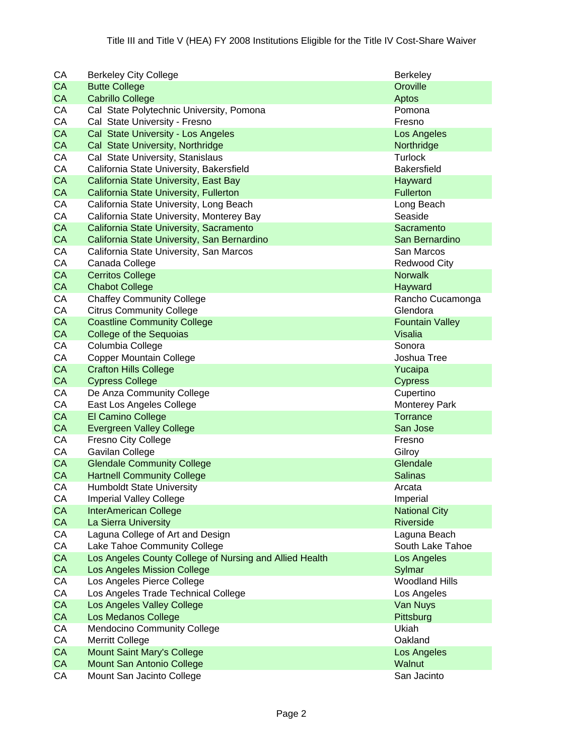| СA        | <b>Berkeley City College</b>                            | <b>Berkeley</b>        |
|-----------|---------------------------------------------------------|------------------------|
| CA        | <b>Butte College</b>                                    | Oroville               |
| <b>CA</b> | <b>Cabrillo College</b>                                 | Aptos                  |
| CA        | Cal State Polytechnic University, Pomona                | Pomona                 |
| CA        | Cal State University - Fresno                           | Fresno                 |
| CA        | Cal State University - Los Angeles                      | Los Angeles            |
| CA        | Cal State University, Northridge                        | Northridge             |
| CA        | Cal State University, Stanislaus                        | <b>Turlock</b>         |
| CA        | California State University, Bakersfield                | <b>Bakersfield</b>     |
| CA        | California State University, East Bay                   | Hayward                |
| CA        | California State University, Fullerton                  | Fullerton              |
| CA        | California State University, Long Beach                 | Long Beach             |
| CA        | California State University, Monterey Bay               | Seaside                |
| CA        | California State University, Sacramento                 | Sacramento             |
| CA        | California State University, San Bernardino             | San Bernardino         |
| CA        | California State University, San Marcos                 | San Marcos             |
| CA        | Canada College                                          | <b>Redwood City</b>    |
| CA        | <b>Cerritos College</b>                                 | <b>Norwalk</b>         |
| CA        | <b>Chabot College</b>                                   | Hayward                |
| CA        | <b>Chaffey Community College</b>                        | Rancho Cucamonga       |
| CA        | <b>Citrus Community College</b>                         | Glendora               |
| CA        | <b>Coastline Community College</b>                      | <b>Fountain Valley</b> |
| CA        | <b>College of the Sequoias</b>                          | <b>Visalia</b>         |
| CA        | Columbia College                                        | Sonora                 |
| CA        | <b>Copper Mountain College</b>                          | Joshua Tree            |
| CA        | <b>Crafton Hills College</b>                            | Yucaipa                |
| CA        | <b>Cypress College</b>                                  | <b>Cypress</b>         |
| CA        | De Anza Community College                               | Cupertino              |
| CA        | East Los Angeles College                                | <b>Monterey Park</b>   |
| CA        | El Camino College                                       | <b>Torrance</b>        |
| CA        | <b>Evergreen Valley College</b>                         | San Jose               |
| СA        | <b>Fresno City College</b>                              | Fresno                 |
| CA        | Gavilan College                                         | Gilroy                 |
| CA        | <b>Glendale Community College</b>                       | Glendale               |
| CA        | <b>Hartnell Community College</b>                       | <b>Salinas</b>         |
| CA        | <b>Humboldt State University</b>                        | Arcata                 |
| СA        | <b>Imperial Valley College</b>                          | Imperial               |
| <b>CA</b> | <b>InterAmerican College</b>                            | <b>National City</b>   |
| CA        | La Sierra University                                    | Riverside              |
| CA        | Laguna College of Art and Design                        | Laguna Beach           |
| CA        | Lake Tahoe Community College                            | South Lake Tahoe       |
| CA        | Los Angeles County College of Nursing and Allied Health | Los Angeles            |
| CA        | Los Angeles Mission College                             | Sylmar                 |
| CA        | Los Angeles Pierce College                              | <b>Woodland Hills</b>  |
| CA        | Los Angeles Trade Technical College                     | Los Angeles            |
| CA        | Los Angeles Valley College                              | Van Nuys               |
| CA        | <b>Los Medanos College</b>                              | Pittsburg              |
| СA        | <b>Mendocino Community College</b>                      | Ukiah                  |
| CA        | <b>Merritt College</b>                                  | Oakland                |
| CA        | <b>Mount Saint Mary's College</b>                       | Los Angeles            |
| CA        | Mount San Antonio College                               | Walnut                 |
| СA        | Mount San Jacinto College                               | San Jacinto            |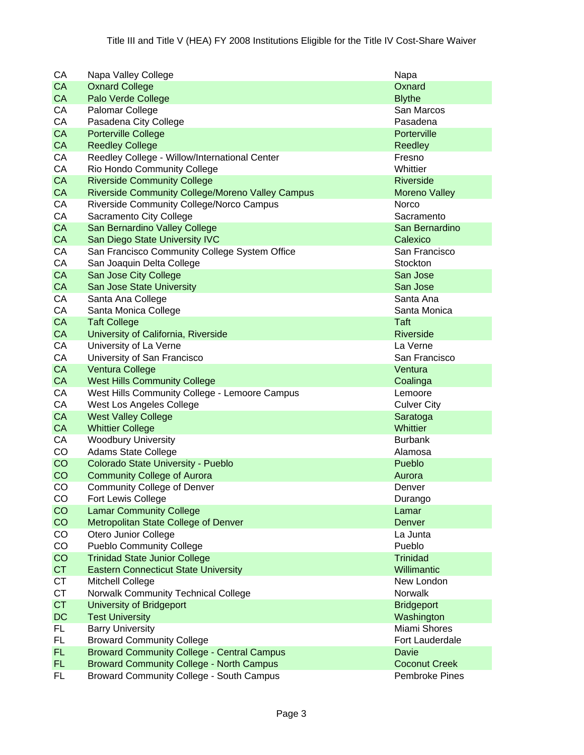| CA        | Napa Valley College                               | Napa                 |
|-----------|---------------------------------------------------|----------------------|
| CA        | <b>Oxnard College</b>                             | Oxnard               |
| CA        | Palo Verde College                                | <b>Blythe</b>        |
| CA        | Palomar College                                   | San Marcos           |
| CA        | Pasadena City College                             | Pasadena             |
| CA        | <b>Porterville College</b>                        | Porterville          |
| CA        | <b>Reedley College</b>                            | Reedley              |
| CA        | Reedley College - Willow/International Center     | Fresno               |
| CA        | Rio Hondo Community College                       | Whittier             |
| CA        | <b>Riverside Community College</b>                | <b>Riverside</b>     |
| CA        | Riverside Community College/Moreno Valley Campus  | <b>Moreno Valley</b> |
| CA        | Riverside Community College/Norco Campus          | Norco                |
| CA        | Sacramento City College                           | Sacramento           |
| CA        | San Bernardino Valley College                     | San Bernardino       |
| CA        | San Diego State University IVC                    | Calexico             |
| CA        | San Francisco Community College System Office     | San Francisco        |
| CA        | San Joaquin Delta College                         | Stockton             |
|           |                                                   |                      |
| CA        | San Jose City College                             | San Jose             |
| CA        | <b>San Jose State University</b>                  | San Jose             |
| CA        | Santa Ana College                                 | Santa Ana            |
| CA        | Santa Monica College                              | Santa Monica         |
| CA        | <b>Taft College</b>                               | <b>Taft</b>          |
| CA        | University of California, Riverside               | <b>Riverside</b>     |
| CA        | University of La Verne                            | La Verne             |
| CA        | University of San Francisco                       | San Francisco        |
| CA        | <b>Ventura College</b>                            | Ventura              |
| CA        | <b>West Hills Community College</b>               | Coalinga             |
| CA        | West Hills Community College - Lemoore Campus     | Lemoore              |
| CA        | West Los Angeles College                          | <b>Culver City</b>   |
| <b>CA</b> | <b>West Valley College</b>                        | Saratoga             |
| CA        | <b>Whittier College</b>                           | Whittier             |
| CA        | <b>Woodbury University</b>                        | <b>Burbank</b>       |
| CO        | <b>Adams State College</b>                        | Alamosa              |
| CO        | Colorado State University - Pueblo                | Pueblo               |
| CO        | <b>Community College of Aurora</b>                | Aurora               |
| CO        | <b>Community College of Denver</b>                | Denver               |
| CO        | Fort Lewis College                                | Durango              |
| CO        | <b>Lamar Community College</b>                    | Lamar                |
| CO        | Metropolitan State College of Denver              | Denver               |
| CO        | Otero Junior College                              | La Junta             |
| CO        | <b>Pueblo Community College</b>                   | Pueblo               |
| CO        | <b>Trinidad State Junior College</b>              | <b>Trinidad</b>      |
| <b>CT</b> | <b>Eastern Connecticut State University</b>       | Willimantic          |
| <b>CT</b> | Mitchell College                                  | New London           |
| <b>CT</b> | Norwalk Community Technical College               | Norwalk              |
| <b>CT</b> | University of Bridgeport                          | <b>Bridgeport</b>    |
| DC        | <b>Test University</b>                            | Washington           |
| FL.       | <b>Barry University</b>                           | Miami Shores         |
| FL.       | <b>Broward Community College</b>                  | Fort Lauderdale      |
| FL.       | <b>Broward Community College - Central Campus</b> | Davie                |
| FL.       | <b>Broward Community College - North Campus</b>   | <b>Coconut Creek</b> |
| FL.       | <b>Broward Community College - South Campus</b>   | Pembroke Pines       |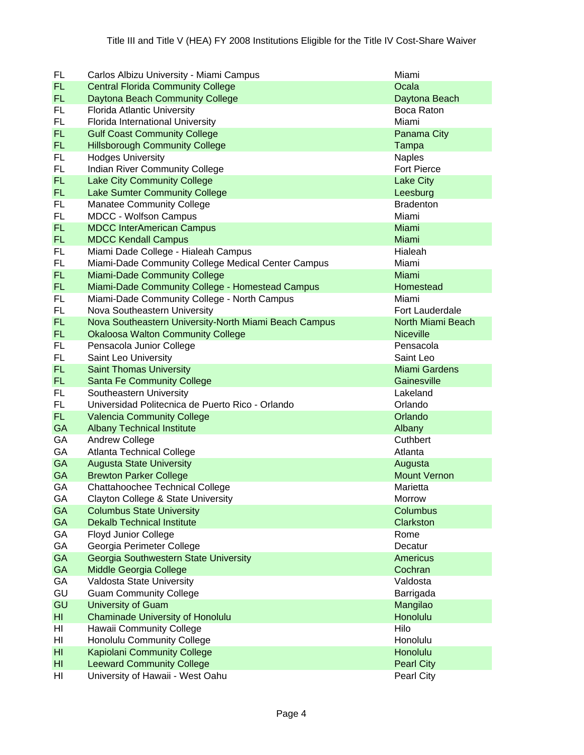| FL             | Carlos Albizu University - Miami Campus               | Miami                |
|----------------|-------------------------------------------------------|----------------------|
| FL.            | <b>Central Florida Community College</b>              | Ocala                |
| FL.            | Daytona Beach Community College                       | Daytona Beach        |
| FL.            | Florida Atlantic University                           | Boca Raton           |
| <b>FL</b>      | Florida International University                      | Miami                |
| FL.            | <b>Gulf Coast Community College</b>                   | Panama City          |
| FL.            | <b>Hillsborough Community College</b>                 | Tampa                |
| FL             | <b>Hodges University</b>                              | <b>Naples</b>        |
| FL.            | Indian River Community College                        | <b>Fort Pierce</b>   |
| FL.            | <b>Lake City Community College</b>                    | <b>Lake City</b>     |
| <b>FL</b>      | Lake Sumter Community College                         | Leesburg             |
| FL             | <b>Manatee Community College</b>                      | <b>Bradenton</b>     |
| <b>FL</b>      | <b>MDCC - Wolfson Campus</b>                          | Miami                |
| <b>FL</b>      | <b>MDCC InterAmerican Campus</b>                      | Miami                |
| <b>FL</b>      | <b>MDCC Kendall Campus</b>                            | Miami                |
| FL             | Miami Dade College - Hialeah Campus                   | Hialeah              |
| FL.            | Miami-Dade Community College Medical Center Campus    | Miami                |
| <b>FL</b>      | <b>Miami-Dade Community College</b>                   | Miami                |
| FL.            | Miami-Dade Community College - Homestead Campus       | Homestead            |
| FL.            | Miami-Dade Community College - North Campus           | Miami                |
| FL.            | Nova Southeastern University                          | Fort Lauderdale      |
| FL.            | Nova Southeastern University-North Miami Beach Campus | North Miami Beach    |
| <b>FL</b>      | <b>Okaloosa Walton Community College</b>              | <b>Niceville</b>     |
| FL             | Pensacola Junior College                              | Pensacola            |
| FL.            | Saint Leo University                                  | Saint Leo            |
| <b>FL</b>      | <b>Saint Thomas University</b>                        | <b>Miami Gardens</b> |
| FL.            | <b>Santa Fe Community College</b>                     | Gainesville          |
| FL             | Southeastern University                               | Lakeland             |
| FL.            | Universidad Politecnica de Puerto Rico - Orlando      | Orlando              |
| <b>FL</b>      | <b>Valencia Community College</b>                     | Orlando              |
| <b>GA</b>      | <b>Albany Technical Institute</b>                     | Albany               |
| GA             | <b>Andrew College</b>                                 | Cuthbert             |
| GA             | <b>Atlanta Technical College</b>                      | Atlanta              |
| <b>GA</b>      | <b>Augusta State University</b>                       | Augusta              |
| <b>GA</b>      | <b>Brewton Parker College</b>                         | <b>Mount Vernon</b>  |
| GA             | Chattahoochee Technical College                       | Marietta             |
| GA             | Clayton College & State University                    | Morrow               |
| <b>GA</b>      | <b>Columbus State University</b>                      | Columbus             |
| GA             | <b>Dekalb Technical Institute</b>                     | Clarkston            |
| GA             | <b>Floyd Junior College</b>                           | Rome                 |
| GA             | Georgia Perimeter College                             | Decatur              |
| GA             | Georgia Southwestern State University                 | <b>Americus</b>      |
| GA             | Middle Georgia College                                | Cochran              |
| GA             | Valdosta State University                             | Valdosta             |
| GU             | <b>Guam Community College</b>                         | Barrigada            |
| GU             | University of Guam                                    | Mangilao             |
| HI             | <b>Chaminade University of Honolulu</b>               | Honolulu             |
| HI             | Hawaii Community College                              | Hilo                 |
| HI             | <b>Honolulu Community College</b>                     | Honolulu             |
| H <sub>l</sub> | <b>Kapiolani Community College</b>                    | Honolulu             |
| HI             | <b>Leeward Community College</b>                      | <b>Pearl City</b>    |
| HI             | University of Hawaii - West Oahu                      | Pearl City           |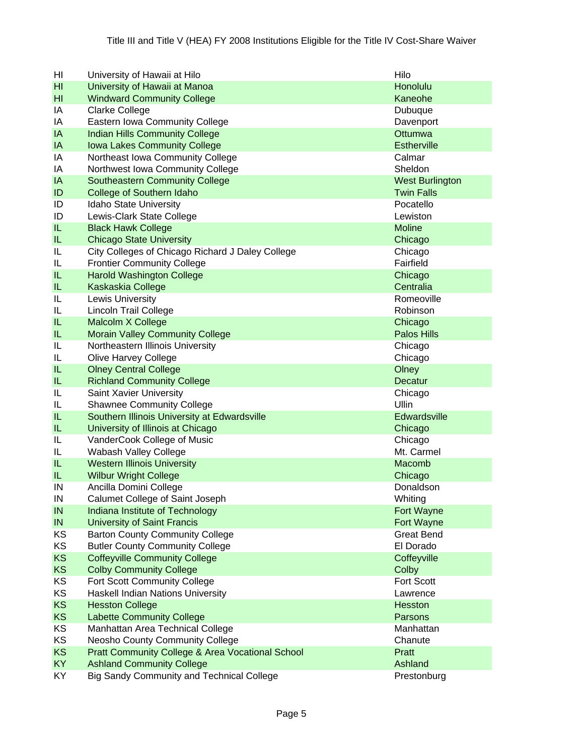| HI             | University of Hawaii at Hilo                                | Hilo                   |
|----------------|-------------------------------------------------------------|------------------------|
| H <sub>l</sub> | University of Hawaii at Manoa                               | Honolulu               |
| HI             | <b>Windward Community College</b>                           | Kaneohe                |
| ΙA             | <b>Clarke College</b>                                       | Dubuque                |
| ΙA             | Eastern Iowa Community College                              | Davenport              |
| IA             | <b>Indian Hills Community College</b>                       | Ottumwa                |
| IA             | <b>Iowa Lakes Community College</b>                         | <b>Estherville</b>     |
| IA             | Northeast Iowa Community College                            | Calmar                 |
| ΙA             | Northwest Iowa Community College                            | Sheldon                |
| IA             | <b>Southeastern Community College</b>                       | <b>West Burlington</b> |
| ID             | <b>College of Southern Idaho</b>                            | <b>Twin Falls</b>      |
| ID             | Idaho State University                                      | Pocatello              |
| ID             | Lewis-Clark State College                                   | Lewiston               |
| IL             | <b>Black Hawk College</b>                                   | <b>Moline</b>          |
| IL             | <b>Chicago State University</b>                             | Chicago                |
| IL             | City Colleges of Chicago Richard J Daley College            | Chicago                |
| IL             | <b>Frontier Community College</b>                           | Fairfield              |
| IL             | <b>Harold Washington College</b>                            | Chicago                |
| IL             | Kaskaskia College                                           | Centralia              |
| IL             | Lewis University                                            | Romeoville             |
| IL             | <b>Lincoln Trail College</b>                                | Robinson               |
| IL             | Malcolm X College                                           | Chicago                |
| IL             | <b>Morain Valley Community College</b>                      | <b>Palos Hills</b>     |
| IL             | Northeastern Illinois University                            | Chicago                |
| IL             | <b>Olive Harvey College</b>                                 | Chicago                |
| IL             | <b>Olney Central College</b>                                | Olney                  |
| IL.            | <b>Richland Community College</b>                           | Decatur                |
| IL             | Saint Xavier University                                     | Chicago                |
| IL             | <b>Shawnee Community College</b>                            | Ullin                  |
| IL             | Southern Illinois University at Edwardsville                | Edwardsville           |
| IL             | University of Illinois at Chicago                           | Chicago                |
| IL             | VanderCook College of Music                                 | Chicago                |
| IL             | Wabash Valley College                                       | Mt. Carmel             |
| IL             | <b>Western Illinois University</b>                          | Macomb                 |
| IL             | <b>Wilbur Wright College</b>                                | Chicago                |
| IN             | Ancilla Domini College                                      | Donaldson              |
| IN             | Calumet College of Saint Joseph                             | Whiting                |
| IN             | Indiana Institute of Technology                             | Fort Wayne             |
| IN             | <b>University of Saint Francis</b>                          | Fort Wayne             |
| KS             | <b>Barton County Community College</b>                      | <b>Great Bend</b>      |
| KS             | <b>Butler County Community College</b>                      | El Dorado              |
| <b>KS</b>      | <b>Coffeyville Community College</b>                        | Coffeyville            |
| <b>KS</b>      | <b>Colby Community College</b>                              | Colby                  |
| KS             | Fort Scott Community College                                | Fort Scott             |
| KS             | Haskell Indian Nations University                           | Lawrence               |
| <b>KS</b>      | <b>Hesston College</b>                                      | Hesston                |
| <b>KS</b>      | <b>Labette Community College</b>                            | Parsons                |
| <b>KS</b>      | Manhattan Area Technical College                            | Manhattan              |
| KS             | <b>Neosho County Community College</b>                      | Chanute                |
| <b>KS</b>      | <b>Pratt Community College &amp; Area Vocational School</b> | Pratt                  |
| <b>KY</b>      | <b>Ashland Community College</b>                            | Ashland                |
| KY             | <b>Big Sandy Community and Technical College</b>            | Prestonburg            |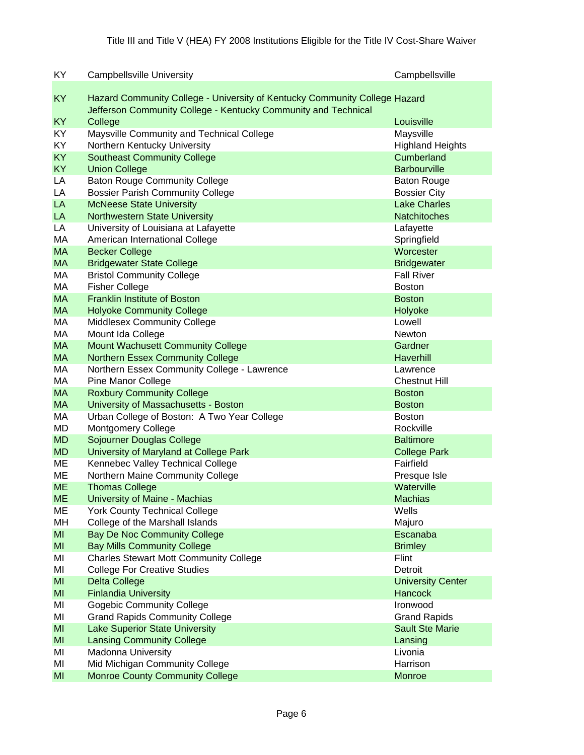| KY             | <b>Campbellsville University</b>                                                                                                             | Campbellsville           |
|----------------|----------------------------------------------------------------------------------------------------------------------------------------------|--------------------------|
| KY             | Hazard Community College - University of Kentucky Community College Hazard<br>Jefferson Community College - Kentucky Community and Technical |                          |
| <b>KY</b>      | College                                                                                                                                      | Louisville               |
| KY             | Maysville Community and Technical College                                                                                                    | Maysville                |
| KY             | Northern Kentucky University                                                                                                                 | <b>Highland Heights</b>  |
| KY             | <b>Southeast Community College</b>                                                                                                           | Cumberland               |
| <b>KY</b>      | <b>Union College</b>                                                                                                                         | <b>Barbourville</b>      |
| LA             | <b>Baton Rouge Community College</b>                                                                                                         | <b>Baton Rouge</b>       |
| LA             | <b>Bossier Parish Community College</b>                                                                                                      | <b>Bossier City</b>      |
| LA             | <b>McNeese State University</b>                                                                                                              | <b>Lake Charles</b>      |
| LA             | Northwestern State University                                                                                                                | <b>Natchitoches</b>      |
| LA             | University of Louisiana at Lafayette                                                                                                         | Lafayette                |
| MA             | American International College                                                                                                               | Springfield              |
| <b>MA</b>      | <b>Becker College</b>                                                                                                                        | Worcester                |
| <b>MA</b>      | <b>Bridgewater State College</b>                                                                                                             | <b>Bridgewater</b>       |
| МA             | <b>Bristol Community College</b>                                                                                                             | <b>Fall River</b>        |
| МA             | <b>Fisher College</b>                                                                                                                        | <b>Boston</b>            |
| <b>MA</b>      | <b>Franklin Institute of Boston</b>                                                                                                          | <b>Boston</b>            |
| <b>MA</b>      | <b>Holyoke Community College</b>                                                                                                             | Holyoke                  |
| МA             | <b>Middlesex Community College</b>                                                                                                           | Lowell                   |
| МA             | Mount Ida College                                                                                                                            | Newton                   |
| <b>MA</b>      | <b>Mount Wachusett Community College</b>                                                                                                     | Gardner                  |
| <b>MA</b>      | <b>Northern Essex Community College</b>                                                                                                      | Haverhill                |
| МA             | Northern Essex Community College - Lawrence                                                                                                  | Lawrence                 |
| МA             | <b>Pine Manor College</b>                                                                                                                    | <b>Chestnut Hill</b>     |
| <b>MA</b>      | <b>Roxbury Community College</b>                                                                                                             | <b>Boston</b>            |
| <b>MA</b>      | University of Massachusetts - Boston                                                                                                         | <b>Boston</b>            |
| МA             | Urban College of Boston: A Two Year College                                                                                                  | <b>Boston</b>            |
| MD             | <b>Montgomery College</b>                                                                                                                    | Rockville                |
| <b>MD</b>      | Sojourner Douglas College                                                                                                                    | <b>Baltimore</b>         |
| <b>MD</b>      | University of Maryland at College Park                                                                                                       | <b>College Park</b>      |
| MЕ             | Kennebec Valley Technical College                                                                                                            | Fairfield                |
| MЕ             | Northern Maine Community College                                                                                                             | Presque Isle             |
| <b>ME</b>      | <b>Thomas College</b>                                                                                                                        | Waterville               |
| <b>ME</b>      | University of Maine - Machias                                                                                                                | <b>Machias</b>           |
| ME             | <b>York County Technical College</b>                                                                                                         | Wells                    |
| MH             | College of the Marshall Islands                                                                                                              | Majuro                   |
| MI             | <b>Bay De Noc Community College</b>                                                                                                          | Escanaba                 |
| MI             | <b>Bay Mills Community College</b>                                                                                                           | <b>Brimley</b>           |
| MI             | <b>Charles Stewart Mott Community College</b>                                                                                                | Flint                    |
| MI             | <b>College For Creative Studies</b>                                                                                                          | Detroit                  |
| M <sub>l</sub> | <b>Delta College</b>                                                                                                                         | <b>University Center</b> |
| MI             | <b>Finlandia University</b>                                                                                                                  | <b>Hancock</b>           |
| MI             | <b>Gogebic Community College</b>                                                                                                             | Ironwood                 |
| MI             | <b>Grand Rapids Community College</b>                                                                                                        | <b>Grand Rapids</b>      |
| M <sub>l</sub> | <b>Lake Superior State University</b>                                                                                                        | <b>Sault Ste Marie</b>   |
| MI             | <b>Lansing Community College</b>                                                                                                             | Lansing                  |
| MI             | Madonna University                                                                                                                           | Livonia                  |
| MI             | Mid Michigan Community College                                                                                                               | Harrison                 |
| M <sub>l</sub> | <b>Monroe County Community College</b>                                                                                                       | Monroe                   |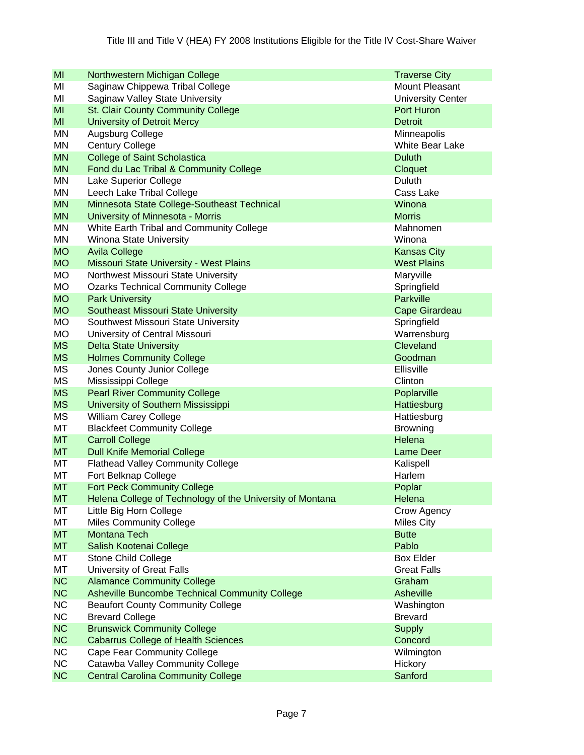| MI        | Northwestern Michigan College                             | <b>Traverse City</b>     |
|-----------|-----------------------------------------------------------|--------------------------|
| ΜI        | Saginaw Chippewa Tribal College                           | Mount Pleasant           |
| MI        | Saginaw Valley State University                           | <b>University Center</b> |
| MI        | <b>St. Clair County Community College</b>                 | Port Huron               |
| MI        | <b>University of Detroit Mercy</b>                        | <b>Detroit</b>           |
| MN        | Augsburg College                                          | Minneapolis              |
| MN        | <b>Century College</b>                                    | <b>White Bear Lake</b>   |
| <b>MN</b> | <b>College of Saint Scholastica</b>                       | <b>Duluth</b>            |
| <b>MN</b> | Fond du Lac Tribal & Community College                    | Cloquet                  |
| MN        | Lake Superior College                                     | Duluth                   |
| MN        | Leech Lake Tribal College                                 | Cass Lake                |
| <b>MN</b> | Minnesota State College-Southeast Technical               | Winona                   |
| <b>MN</b> | University of Minnesota - Morris                          | <b>Morris</b>            |
| MN        | White Earth Tribal and Community College                  | Mahnomen                 |
| MN        | Winona State University                                   | Winona                   |
| <b>MO</b> | <b>Avila College</b>                                      | <b>Kansas City</b>       |
| <b>MO</b> | Missouri State University - West Plains                   | <b>West Plains</b>       |
| MO        | Northwest Missouri State University                       | Maryville                |
| <b>MO</b> | <b>Ozarks Technical Community College</b>                 | Springfield              |
| <b>MO</b> | <b>Park University</b>                                    | <b>Parkville</b>         |
| <b>MO</b> | <b>Southeast Missouri State University</b>                | <b>Cape Girardeau</b>    |
| MO        | Southwest Missouri State University                       | Springfield              |
| <b>MO</b> | University of Central Missouri                            | Warrensburg              |
| <b>MS</b> | <b>Delta State University</b>                             | Cleveland                |
| <b>MS</b> | <b>Holmes Community College</b>                           | Goodman                  |
| <b>MS</b> | Jones County Junior College                               | Ellisville               |
| <b>MS</b> | Mississippi College                                       | Clinton                  |
| <b>MS</b> | <b>Pearl River Community College</b>                      | Poplarville              |
| <b>MS</b> | University of Southern Mississippi                        | Hattiesburg              |
| MS        | <b>William Carey College</b>                              | Hattiesburg              |
| МT        | <b>Blackfeet Community College</b>                        | <b>Browning</b>          |
| <b>MT</b> | <b>Carroll College</b>                                    | Helena                   |
| <b>MT</b> | <b>Dull Knife Memorial College</b>                        | Lame Deer                |
| MT        | <b>Flathead Valley Community College</b>                  | Kalispell                |
| MT        | Fort Belknap College                                      | Harlem                   |
| <b>MT</b> | <b>Fort Peck Community College</b>                        | Poplar                   |
| MT        | Helena College of Technology of the University of Montana | Helena                   |
| МT        | Little Big Horn College                                   | Crow Agency              |
| MT        | <b>Miles Community College</b>                            | <b>Miles City</b>        |
| <b>MT</b> | Montana Tech                                              | <b>Butte</b>             |
| <b>MT</b> | Salish Kootenai College                                   | Pablo                    |
| MT        | Stone Child College                                       | <b>Box Elder</b>         |
| MT        | University of Great Falls                                 | <b>Great Falls</b>       |
| <b>NC</b> | <b>Alamance Community College</b>                         | Graham                   |
| <b>NC</b> | <b>Asheville Buncombe Technical Community College</b>     | Asheville                |
| <b>NC</b> | <b>Beaufort County Community College</b>                  | Washington               |
| <b>NC</b> | <b>Brevard College</b>                                    | <b>Brevard</b>           |
| <b>NC</b> | <b>Brunswick Community College</b>                        | <b>Supply</b>            |
| <b>NC</b> | <b>Cabarrus College of Health Sciences</b>                | Concord                  |
| <b>NC</b> | <b>Cape Fear Community College</b>                        | Wilmington               |
| <b>NC</b> | Catawba Valley Community College                          | Hickory                  |
| <b>NC</b> | <b>Central Carolina Community College</b>                 | Sanford                  |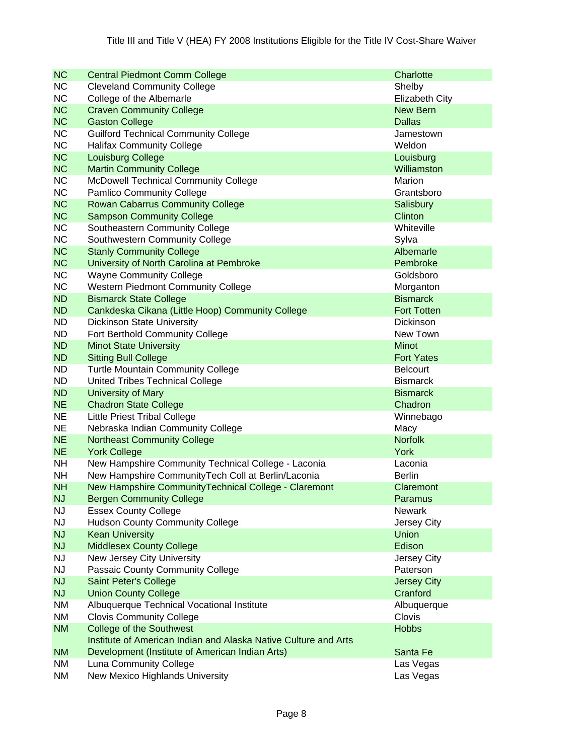| <b>NC</b> | <b>Central Piedmont Comm College</b>                            | Charlotte             |
|-----------|-----------------------------------------------------------------|-----------------------|
| <b>NC</b> | <b>Cleveland Community College</b>                              | Shelby                |
| <b>NC</b> | College of the Albemarle                                        | <b>Elizabeth City</b> |
| <b>NC</b> | <b>Craven Community College</b>                                 | <b>New Bern</b>       |
| <b>NC</b> | <b>Gaston College</b>                                           | <b>Dallas</b>         |
| <b>NC</b> | <b>Guilford Technical Community College</b>                     | Jamestown             |
| <b>NC</b> | <b>Halifax Community College</b>                                | Weldon                |
| <b>NC</b> | <b>Louisburg College</b>                                        | Louisburg             |
| <b>NC</b> | <b>Martin Community College</b>                                 | Williamston           |
| <b>NC</b> | McDowell Technical Community College                            | Marion                |
| <b>NC</b> | <b>Pamlico Community College</b>                                | Grantsboro            |
| <b>NC</b> | <b>Rowan Cabarrus Community College</b>                         | Salisbury             |
| <b>NC</b> | <b>Sampson Community College</b>                                | Clinton               |
| <b>NC</b> | Southeastern Community College                                  | Whiteville            |
| <b>NC</b> | Southwestern Community College                                  | Sylva                 |
| <b>NC</b> | <b>Stanly Community College</b>                                 | Albemarle             |
| <b>NC</b> | University of North Carolina at Pembroke                        | Pembroke              |
| <b>NC</b> | <b>Wayne Community College</b>                                  | Goldsboro             |
| <b>NC</b> | Western Piedmont Community College                              | Morganton             |
| <b>ND</b> | <b>Bismarck State College</b>                                   | <b>Bismarck</b>       |
| <b>ND</b> | Cankdeska Cikana (Little Hoop) Community College                | <b>Fort Totten</b>    |
| <b>ND</b> | <b>Dickinson State University</b>                               | <b>Dickinson</b>      |
| <b>ND</b> | Fort Berthold Community College                                 | New Town              |
| <b>ND</b> | <b>Minot State University</b>                                   | <b>Minot</b>          |
| <b>ND</b> | <b>Sitting Bull College</b>                                     | <b>Fort Yates</b>     |
| <b>ND</b> | <b>Turtle Mountain Community College</b>                        | <b>Belcourt</b>       |
| <b>ND</b> | United Tribes Technical College                                 | <b>Bismarck</b>       |
| <b>ND</b> | University of Mary                                              | <b>Bismarck</b>       |
| <b>NE</b> | <b>Chadron State College</b>                                    | Chadron               |
| <b>NE</b> | <b>Little Priest Tribal College</b>                             | Winnebago             |
| <b>NE</b> | Nebraska Indian Community College                               | Macy                  |
| <b>NE</b> | <b>Northeast Community College</b>                              | <b>Norfolk</b>        |
| <b>NE</b> | <b>York College</b>                                             | York                  |
| <b>NH</b> | New Hampshire Community Technical College - Laconia             | Laconia               |
| <b>NH</b> | New Hampshire CommunityTech Coll at Berlin/Laconia              | <b>Berlin</b>         |
| <b>NH</b> | New Hampshire CommunityTechnical College - Claremont            | Claremont             |
| <b>NJ</b> | <b>Bergen Community College</b>                                 | Paramus               |
| <b>NJ</b> | <b>Essex County College</b>                                     | Newark                |
| <b>NJ</b> | <b>Hudson County Community College</b>                          | Jersey City           |
| <b>NJ</b> | <b>Kean University</b>                                          | <b>Union</b>          |
| <b>NJ</b> | <b>Middlesex County College</b>                                 | Edison                |
| <b>NJ</b> | New Jersey City University                                      | Jersey City           |
| <b>NJ</b> | Passaic County Community College                                | Paterson              |
| <b>NJ</b> | <b>Saint Peter's College</b>                                    | <b>Jersey City</b>    |
| <b>NJ</b> | <b>Union County College</b>                                     | Cranford              |
| <b>NM</b> | Albuquerque Technical Vocational Institute                      | Albuquerque           |
| <b>NM</b> | <b>Clovis Community College</b>                                 | Clovis                |
| <b>NM</b> | <b>College of the Southwest</b>                                 | <b>Hobbs</b>          |
|           | Institute of American Indian and Alaska Native Culture and Arts |                       |
| <b>NM</b> | Development (Institute of American Indian Arts)                 | Santa Fe              |
| <b>NM</b> | Luna Community College                                          | Las Vegas             |
| NM        | New Mexico Highlands University                                 | Las Vegas             |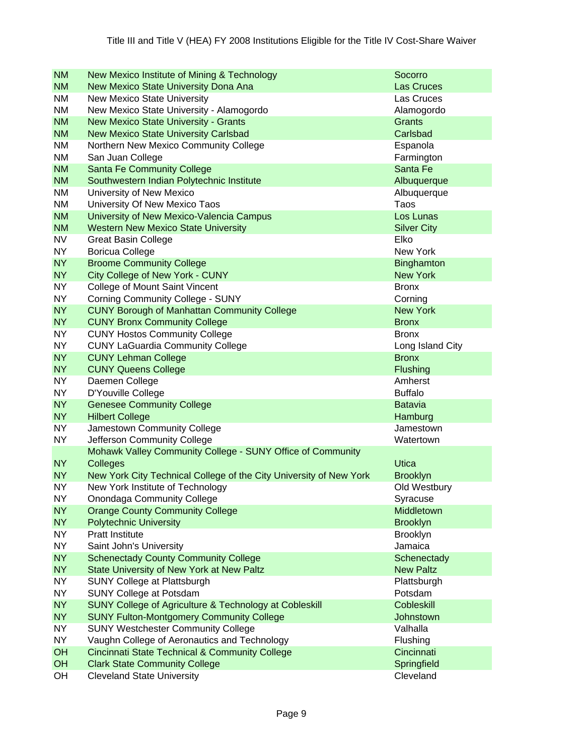| <b>NM</b>              | New Mexico Institute of Mining & Technology                                              | Socorro                         |
|------------------------|------------------------------------------------------------------------------------------|---------------------------------|
| <b>NM</b>              | New Mexico State University Dona Ana                                                     | Las Cruces                      |
| <b>NM</b>              | <b>New Mexico State University</b>                                                       | Las Cruces                      |
| <b>NM</b>              | New Mexico State University - Alamogordo                                                 | Alamogordo                      |
| <b>NM</b>              | <b>New Mexico State University - Grants</b>                                              | <b>Grants</b>                   |
| <b>NM</b>              | <b>New Mexico State University Carlsbad</b>                                              | Carlsbad                        |
| <b>NM</b>              | Northern New Mexico Community College                                                    | Espanola                        |
| <b>NM</b>              | San Juan College                                                                         | Farmington                      |
| <b>NM</b>              | <b>Santa Fe Community College</b>                                                        | Santa Fe                        |
| <b>NM</b>              | Southwestern Indian Polytechnic Institute                                                | Albuquerque                     |
| <b>NM</b>              | University of New Mexico                                                                 | Albuquerque                     |
| <b>NM</b>              | University Of New Mexico Taos                                                            | Taos                            |
| <b>NM</b>              | University of New Mexico-Valencia Campus                                                 | Los Lunas                       |
| <b>NM</b>              | <b>Western New Mexico State University</b>                                               | <b>Silver City</b>              |
| <b>NV</b>              | <b>Great Basin College</b>                                                               | Elko                            |
| <b>NY</b>              | <b>Boricua College</b>                                                                   | New York                        |
| <b>NY</b>              | <b>Broome Community College</b>                                                          | <b>Binghamton</b>               |
| <b>NY</b>              | City College of New York - CUNY                                                          | <b>New York</b>                 |
| <b>NY</b>              | College of Mount Saint Vincent                                                           | <b>Bronx</b>                    |
| <b>NY</b>              | <b>Corning Community College - SUNY</b>                                                  | Corning                         |
| <b>NY</b>              | <b>CUNY Borough of Manhattan Community College</b>                                       | <b>New York</b>                 |
| <b>NY</b>              | <b>CUNY Bronx Community College</b>                                                      | <b>Bronx</b>                    |
| <b>NY</b>              | <b>CUNY Hostos Community College</b>                                                     | <b>Bronx</b>                    |
| <b>NY</b>              | <b>CUNY LaGuardia Community College</b>                                                  | Long Island City                |
| <b>NY</b>              | <b>CUNY Lehman College</b>                                                               | <b>Bronx</b>                    |
| <b>NY</b>              | <b>CUNY Queens College</b>                                                               | <b>Flushing</b>                 |
| <b>NY</b>              | Daemen College                                                                           | Amherst                         |
| <b>NY</b>              | D'Youville College                                                                       | <b>Buffalo</b>                  |
| <b>NY</b>              | <b>Genesee Community College</b>                                                         | <b>Batavia</b>                  |
| <b>NY</b>              | <b>Hilbert College</b>                                                                   | Hamburg                         |
| <b>NY</b>              | Jamestown Community College                                                              | Jamestown                       |
| <b>NY</b>              | Jefferson Community College                                                              | Watertown                       |
|                        | Mohawk Valley Community College - SUNY Office of Community                               |                                 |
| <b>NY</b>              | <b>Colleges</b>                                                                          | <b>Utica</b>                    |
| <b>NY</b>              | New York City Technical College of the City University of New York                       | <b>Brooklyn</b>                 |
| <b>NY</b>              | New York Institute of Technology                                                         | Old Westbury                    |
| <b>NY</b>              | <b>Onondaga Community College</b>                                                        | Syracuse                        |
| <b>NY</b>              | <b>Orange County Community College</b>                                                   | Middletown                      |
| <b>NY</b>              | <b>Polytechnic University</b>                                                            | <b>Brooklyn</b>                 |
| <b>NY</b>              | <b>Pratt Institute</b>                                                                   | Brooklyn                        |
| <b>NY</b>              | Saint John's University                                                                  | Jamaica                         |
| <b>NY</b><br><b>NY</b> | <b>Schenectady County Community College</b><br>State University of New York at New Paltz | Schenectady<br><b>New Paltz</b> |
| <b>NY</b>              | SUNY College at Plattsburgh                                                              | Plattsburgh                     |
| <b>NY</b>              | <b>SUNY College at Potsdam</b>                                                           | Potsdam                         |
| <b>NY</b>              | SUNY College of Agriculture & Technology at Cobleskill                                   | <b>Cobleskill</b>               |
| <b>NY</b>              | <b>SUNY Fulton-Montgomery Community College</b>                                          | <b>Johnstown</b>                |
| <b>NY</b>              | <b>SUNY Westchester Community College</b>                                                | Valhalla                        |
| <b>NY</b>              | Vaughn College of Aeronautics and Technology                                             | Flushing                        |
| OH                     | <b>Cincinnati State Technical &amp; Community College</b>                                | Cincinnati                      |
| OH                     | <b>Clark State Community College</b>                                                     | Springfield                     |
| OH                     | <b>Cleveland State University</b>                                                        | Cleveland                       |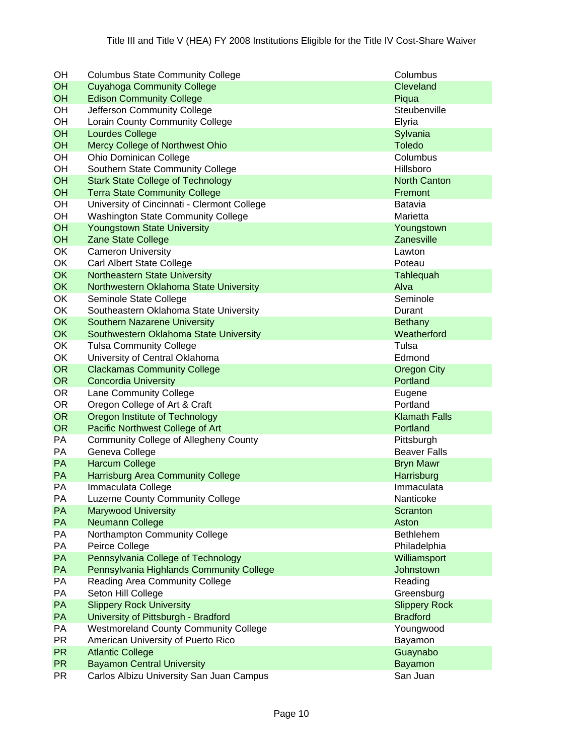| OН        | <b>Columbus State Community College</b>      | Columbus             |
|-----------|----------------------------------------------|----------------------|
| OH        | <b>Cuyahoga Community College</b>            | Cleveland            |
| OH        | <b>Edison Community College</b>              | Piqua                |
| OH        | Jefferson Community College                  | Steubenville         |
| OH        | Lorain County Community College              | Elyria               |
| OH        | <b>Lourdes College</b>                       | Sylvania             |
| OH        | Mercy College of Northwest Ohio              | <b>Toledo</b>        |
| OH        | <b>Ohio Dominican College</b>                | Columbus             |
| OH        | Southern State Community College             | Hillsboro            |
| OH        | <b>Stark State College of Technology</b>     | <b>North Canton</b>  |
| OH        | <b>Terra State Community College</b>         | Fremont              |
| OH        | University of Cincinnati - Clermont College  | Batavia              |
| OH        | <b>Washington State Community College</b>    | Marietta             |
| OH        | <b>Youngstown State University</b>           | Youngstown           |
| OH        | Zane State College                           | Zanesville           |
| OK        | <b>Cameron University</b>                    | Lawton               |
| OK        | Carl Albert State College                    | Poteau               |
| OK        | <b>Northeastern State University</b>         | Tahlequah            |
| OK        | Northwestern Oklahoma State University       | Alva                 |
| OK        | Seminole State College                       | Seminole             |
| OK        | Southeastern Oklahoma State University       | Durant               |
| OK        | <b>Southern Nazarene University</b>          | Bethany              |
| OK        | Southwestern Oklahoma State University       | Weatherford          |
| OK        | <b>Tulsa Community College</b>               | Tulsa                |
| OK        | University of Central Oklahoma               | Edmond               |
| <b>OR</b> | <b>Clackamas Community College</b>           | <b>Oregon City</b>   |
| <b>OR</b> | <b>Concordia University</b>                  | Portland             |
| <b>OR</b> | Lane Community College                       | Eugene               |
| <b>OR</b> | Oregon College of Art & Craft                | Portland             |
| <b>OR</b> | Oregon Institute of Technology               | <b>Klamath Falls</b> |
| <b>OR</b> | Pacific Northwest College of Art             | Portland             |
| PA        | <b>Community College of Allegheny County</b> | Pittsburgh           |
| PA        | Geneva College                               | <b>Beaver Falls</b>  |
| PA        | <b>Harcum College</b>                        | <b>Bryn Mawr</b>     |
| PA        | <b>Harrisburg Area Community College</b>     | Harrisburg           |
| PA        | Immaculata College                           | Immaculata           |
| PA        | Luzerne County Community College             | Nanticoke            |
| PA        | <b>Marywood University</b>                   | Scranton             |
| PA        | Neumann College                              | Aston                |
| PA        | Northampton Community College                | <b>Bethlehem</b>     |
| PA        | Peirce College                               | Philadelphia         |
| PA        | Pennsylvania College of Technology           | Williamsport         |
| PA        | Pennsylvania Highlands Community College     | Johnstown            |
| PA        | Reading Area Community College               | Reading              |
| PA        | Seton Hill College                           | Greensburg           |
| PA        | <b>Slippery Rock University</b>              | <b>Slippery Rock</b> |
| PA        | University of Pittsburgh - Bradford          | <b>Bradford</b>      |
| PA        | <b>Westmoreland County Community College</b> | Youngwood            |
| PR        | American University of Puerto Rico           | Bayamon              |
| <b>PR</b> | <b>Atlantic College</b>                      | Guaynabo             |
| <b>PR</b> | <b>Bayamon Central University</b>            | <b>Bayamon</b>       |
| <b>PR</b> | Carlos Albizu University San Juan Campus     | San Juan             |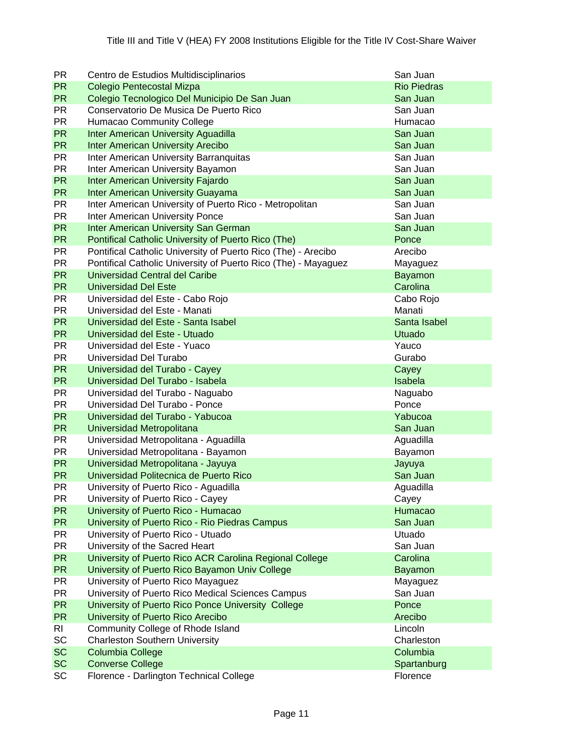| <b>PR</b> | Centro de Estudios Multidisciplinarios                         | San Juan           |
|-----------|----------------------------------------------------------------|--------------------|
| <b>PR</b> | Colegio Pentecostal Mizpa                                      | <b>Rio Piedras</b> |
| <b>PR</b> | Colegio Tecnologico Del Municipio De San Juan                  | San Juan           |
| <b>PR</b> | Conservatorio De Musica De Puerto Rico                         | San Juan           |
| <b>PR</b> | <b>Humacao Community College</b>                               | Humacao            |
| <b>PR</b> | <b>Inter American University Aguadilla</b>                     | San Juan           |
| <b>PR</b> | <b>Inter American University Arecibo</b>                       | San Juan           |
| <b>PR</b> | Inter American University Barranquitas                         | San Juan           |
| <b>PR</b> | Inter American University Bayamon                              | San Juan           |
| <b>PR</b> | <b>Inter American University Fajardo</b>                       | San Juan           |
| <b>PR</b> | <b>Inter American University Guayama</b>                       | San Juan           |
| <b>PR</b> | Inter American University of Puerto Rico - Metropolitan        | San Juan           |
| <b>PR</b> | Inter American University Ponce                                | San Juan           |
| <b>PR</b> | <b>Inter American University San German</b>                    | San Juan           |
| <b>PR</b> | Pontifical Catholic University of Puerto Rico (The)            | Ponce              |
| <b>PR</b> | Pontifical Catholic University of Puerto Rico (The) - Arecibo  | Arecibo            |
| <b>PR</b> | Pontifical Catholic University of Puerto Rico (The) - Mayaguez | Mayaguez           |
| <b>PR</b> | Universidad Central del Caribe                                 | <b>Bayamon</b>     |
| <b>PR</b> | <b>Universidad Del Este</b>                                    | Carolina           |
| <b>PR</b> | Universidad del Este - Cabo Rojo                               | Cabo Rojo          |
| <b>PR</b> | Universidad del Este - Manati                                  | Manati             |
| <b>PR</b> | Universidad del Este - Santa Isabel                            | Santa Isabel       |
| <b>PR</b> | Universidad del Este - Utuado                                  | Utuado             |
| <b>PR</b> | Universidad del Este - Yuaco                                   | Yauco              |
| <b>PR</b> | Universidad Del Turabo                                         | Gurabo             |
| <b>PR</b> | Universidad del Turabo - Cayey                                 | Cayey              |
| <b>PR</b> | Universidad Del Turabo - Isabela                               | Isabela            |
| <b>PR</b> | Universidad del Turabo - Naguabo                               | Naguabo            |
| <b>PR</b> | Universidad Del Turabo - Ponce                                 | Ponce              |
| <b>PR</b> | Universidad del Turabo - Yabucoa                               | Yabucoa            |
| <b>PR</b> | Universidad Metropolitana                                      | San Juan           |
| <b>PR</b> | Universidad Metropolitana - Aguadilla                          | Aguadilla          |
| <b>PR</b> | Universidad Metropolitana - Bayamon                            | Bayamon            |
| <b>PR</b> | Universidad Metropolitana - Jayuya                             | Jayuya             |
| <b>PR</b> | Universidad Politecnica de Puerto Rico                         | San Juan           |
| <b>PR</b> | University of Puerto Rico - Aguadilla                          | Aguadilla          |
| <b>PR</b> | University of Puerto Rico - Cayey                              | Cayey              |
| <b>PR</b> | University of Puerto Rico - Humacao                            | Humacao            |
| <b>PR</b> | University of Puerto Rico - Rio Piedras Campus                 | San Juan           |
| <b>PR</b> | University of Puerto Rico - Utuado                             | Utuado             |
| <b>PR</b> | University of the Sacred Heart                                 | San Juan           |
| <b>PR</b> | University of Puerto Rico ACR Carolina Regional College        | Carolina           |
| <b>PR</b> | University of Puerto Rico Bayamon Univ College                 | <b>Bayamon</b>     |
| <b>PR</b> | University of Puerto Rico Mayaguez                             | Mayaguez           |
| <b>PR</b> | University of Puerto Rico Medical Sciences Campus              | San Juan           |
| <b>PR</b> | University of Puerto Rico Ponce University College             | Ponce              |
| <b>PR</b> | University of Puerto Rico Arecibo                              | Arecibo            |
| RI        | Community College of Rhode Island                              | Lincoln            |
| SC        | <b>Charleston Southern University</b>                          | Charleston         |
| <b>SC</b> | Columbia College                                               | Columbia           |
| <b>SC</b> | <b>Converse College</b>                                        | Spartanburg        |
| SC        | Florence - Darlington Technical College                        | Florence           |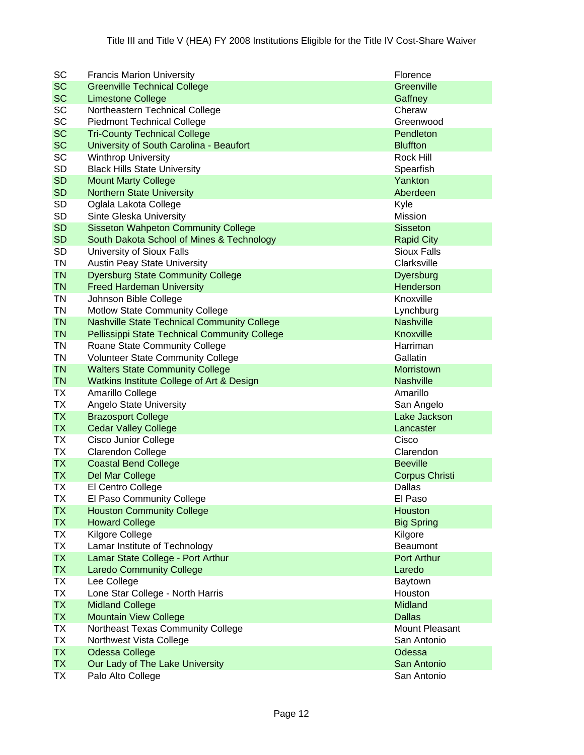| SC        | <b>Francis Marion University</b>                     | Florence              |
|-----------|------------------------------------------------------|-----------------------|
| <b>SC</b> | <b>Greenville Technical College</b>                  | Greenville            |
| <b>SC</b> | <b>Limestone College</b>                             | Gaffney               |
| <b>SC</b> | Northeastern Technical College                       | Cheraw                |
| <b>SC</b> | <b>Piedmont Technical College</b>                    | Greenwood             |
| <b>SC</b> | <b>Tri-County Technical College</b>                  | Pendleton             |
| <b>SC</b> | University of South Carolina - Beaufort              | <b>Bluffton</b>       |
| SC        | <b>Winthrop University</b>                           | Rock Hill             |
| <b>SD</b> | <b>Black Hills State University</b>                  | Spearfish             |
| <b>SD</b> | <b>Mount Marty College</b>                           | Yankton               |
| <b>SD</b> | <b>Northern State University</b>                     | Aberdeen              |
| <b>SD</b> | Oglala Lakota College                                | Kyle                  |
| <b>SD</b> | Sinte Gleska University                              | Mission               |
| <b>SD</b> | <b>Sisseton Wahpeton Community College</b>           | <b>Sisseton</b>       |
| <b>SD</b> | South Dakota School of Mines & Technology            | <b>Rapid City</b>     |
| <b>SD</b> | University of Sioux Falls                            | <b>Sioux Falls</b>    |
| <b>TN</b> | <b>Austin Peay State University</b>                  | Clarksville           |
| <b>TN</b> | <b>Dyersburg State Community College</b>             | Dyersburg             |
| <b>TN</b> | <b>Freed Hardeman University</b>                     | Henderson             |
| <b>TN</b> | Johnson Bible College                                | Knoxville             |
| <b>TN</b> | Motlow State Community College                       | Lynchburg             |
| <b>TN</b> | <b>Nashville State Technical Community College</b>   | <b>Nashville</b>      |
| <b>TN</b> | <b>Pellissippi State Technical Community College</b> | Knoxville             |
| TN        | Roane State Community College                        | Harriman              |
| <b>TN</b> | <b>Volunteer State Community College</b>             | Gallatin              |
| <b>TN</b> | <b>Walters State Community College</b>               | Morristown            |
| <b>TN</b> | Watkins Institute College of Art & Design            | <b>Nashville</b>      |
| <b>TX</b> | Amarillo College                                     | Amarillo              |
| <b>TX</b> | <b>Angelo State University</b>                       | San Angelo            |
| <b>TX</b> | <b>Brazosport College</b>                            | Lake Jackson          |
| <b>TX</b> | <b>Cedar Valley College</b>                          | Lancaster             |
| <b>TX</b> | Cisco Junior College                                 | Cisco                 |
| <b>TX</b> | Clarendon College                                    | Clarendon             |
| <b>TX</b> | <b>Coastal Bend College</b>                          | <b>Beeville</b>       |
| <b>TX</b> | Del Mar College                                      | <b>Corpus Christi</b> |
| <b>TX</b> | El Centro College                                    | Dallas                |
| <b>TX</b> | El Paso Community College                            | El Paso               |
| <b>TX</b> | <b>Houston Community College</b>                     | Houston               |
| <b>TX</b> | <b>Howard College</b>                                | <b>Big Spring</b>     |
| TX        | Kilgore College                                      | Kilgore               |
| <b>TX</b> | Lamar Institute of Technology                        | Beaumont              |
| <b>TX</b> | Lamar State College - Port Arthur                    | <b>Port Arthur</b>    |
| <b>TX</b> | <b>Laredo Community College</b>                      | Laredo                |
| TX        | Lee College                                          | Baytown               |
| <b>TX</b> | Lone Star College - North Harris                     | Houston               |
| <b>TX</b> | <b>Midland College</b>                               | Midland               |
| <b>TX</b> | <b>Mountain View College</b>                         | <b>Dallas</b>         |
| TX        | Northeast Texas Community College                    | Mount Pleasant        |
| TX        | Northwest Vista College                              | San Antonio           |
| <b>TX</b> | <b>Odessa College</b>                                | Odessa                |
| <b>TX</b> | Our Lady of The Lake University                      | San Antonio           |
| TX        | Palo Alto College                                    | San Antonio           |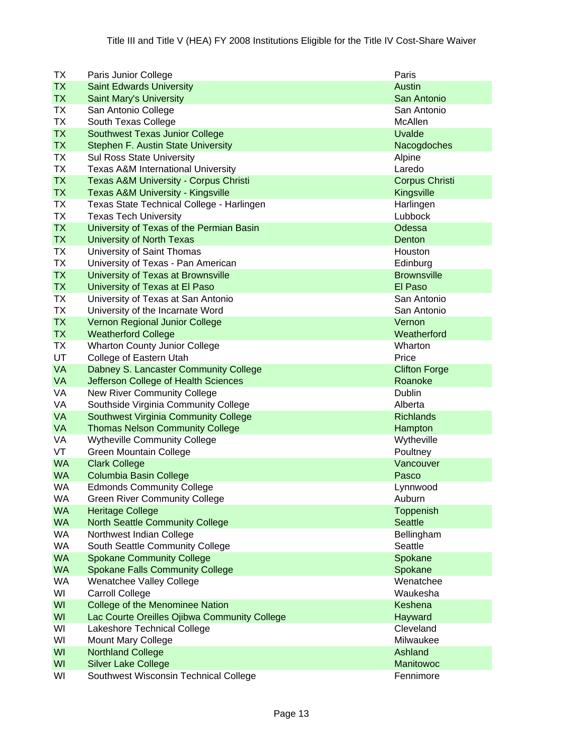| TX        | Paris Junior College                             | Paris                 |
|-----------|--------------------------------------------------|-----------------------|
| <b>TX</b> | <b>Saint Edwards University</b>                  | <b>Austin</b>         |
| <b>TX</b> | <b>Saint Mary's University</b>                   | San Antonio           |
| <b>TX</b> | San Antonio College                              | San Antonio           |
| <b>TX</b> | South Texas College                              | McAllen               |
| <b>TX</b> | <b>Southwest Texas Junior College</b>            | <b>Uvalde</b>         |
| <b>TX</b> | Stephen F. Austin State University               | Nacogdoches           |
| TX        | <b>Sul Ross State University</b>                 | Alpine                |
| <b>TX</b> | <b>Texas A&amp;M International University</b>    | Laredo                |
| <b>TX</b> | <b>Texas A&amp;M University - Corpus Christi</b> | <b>Corpus Christi</b> |
| <b>TX</b> | <b>Texas A&amp;M University - Kingsville</b>     | Kingsville            |
| <b>TX</b> | Texas State Technical College - Harlingen        | Harlingen             |
| <b>TX</b> | <b>Texas Tech University</b>                     | Lubbock               |
| <b>TX</b> | University of Texas of the Permian Basin         | Odessa                |
| <b>TX</b> | <b>University of North Texas</b>                 | Denton                |
| <b>TX</b> | University of Saint Thomas                       | <b>Houston</b>        |
| <b>TX</b> | University of Texas - Pan American               | Edinburg              |
| <b>TX</b> | University of Texas at Brownsville               | <b>Brownsville</b>    |
| <b>TX</b> | University of Texas at El Paso                   | El Paso               |
| TX        | University of Texas at San Antonio               | San Antonio           |
| <b>TX</b> | University of the Incarnate Word                 | San Antonio           |
| <b>TX</b> | Vernon Regional Junior College                   | Vernon                |
| <b>TX</b> | <b>Weatherford College</b>                       | Weatherford           |
| TX        | <b>Wharton County Junior College</b>             | Wharton               |
| UT        | College of Eastern Utah                          | Price                 |
| <b>VA</b> | Dabney S. Lancaster Community College            | <b>Clifton Forge</b>  |
| <b>VA</b> | Jefferson College of Health Sciences             | Roanoke               |
| VA        | New River Community College                      | Dublin                |
| VA        | Southside Virginia Community College             | Alberta               |
| <b>VA</b> | <b>Southwest Virginia Community College</b>      | <b>Richlands</b>      |
| <b>VA</b> | <b>Thomas Nelson Community College</b>           | Hampton               |
| VA        | <b>Wytheville Community College</b>              | Wytheville            |
| VT        | <b>Green Mountain College</b>                    | Poultney              |
| <b>WA</b> | <b>Clark College</b>                             | Vancouver             |
| <b>WA</b> | <b>Columbia Basin College</b>                    | Pasco                 |
| WA        | <b>Edmonds Community College</b>                 | Lynnwood              |
| WA        | <b>Green River Community College</b>             | Auburn                |
| <b>WA</b> | <b>Heritage College</b>                          | Toppenish             |
| <b>WA</b> | <b>North Seattle Community College</b>           | <b>Seattle</b>        |
| WA        | Northwest Indian College                         | Bellingham            |
| WA        | South Seattle Community College                  | Seattle               |
| <b>WA</b> | <b>Spokane Community College</b>                 | Spokane               |
| <b>WA</b> | <b>Spokane Falls Community College</b>           | Spokane               |
| <b>WA</b> | <b>Wenatchee Valley College</b>                  | Wenatchee             |
| WI        | <b>Carroll College</b>                           | Waukesha              |
| WI        | <b>College of the Menominee Nation</b>           | Keshena               |
| WI        | Lac Courte Oreilles Ojibwa Community College     | Hayward               |
| WI        | Lakeshore Technical College                      | Cleveland             |
| WI        | <b>Mount Mary College</b>                        | Milwaukee             |
| WI        | <b>Northland College</b>                         | Ashland               |
| WI        | <b>Silver Lake College</b>                       | <b>Manitowoc</b>      |
| WI        | Southwest Wisconsin Technical College            | Fennimore             |